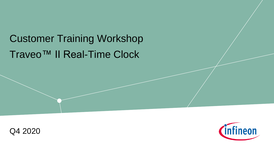## Traveo™ II Real-Time Clock Customer Training Workshop



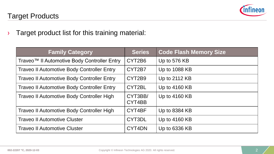

#### Target Products

› Target product list for this training material:

| <b>Family Category</b>                            | <b>Series</b>     | <b>Code Flash Memory Size</b> |
|---------------------------------------------------|-------------------|-------------------------------|
| Traveo™ II Automotive Body Controller Entry       | CYT2B6            | Up to 576 KB                  |
| <b>Traveo II Automotive Body Controller Entry</b> | CYT2B7            | Up to 1088 KB                 |
| <b>Traveo II Automotive Body Controller Entry</b> | CYT2B9            | Up to 2112 KB                 |
| <b>Traveo II Automotive Body Controller Entry</b> | CYT2BL            | Up to 4160 KB                 |
| <b>Traveo II Automotive Body Controller High</b>  | CYT3BB/<br>CYT4BB | Up to 4160 KB                 |
| Traveo II Automotive Body Controller High         | CYT4BF            | Up to 8384 KB                 |
| <b>Traveo II Automotive Cluster</b>               | CYT3DL            | Up to 4160 KB                 |
| <b>Traveo II Automotive Cluster</b>               | CYT4DN            | Up to 6336 KB                 |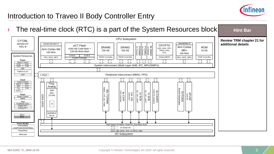

#### Introduction to Traveo II Body Controller Entry

 $\rightarrow$  The real-time clock (RTC) is a part of the System Resources block **Hint Bar**  CPU Subsystem **Review TRM chapter 21 for**  CYT2BL MXS40-HT SWJ/MTB/CTI **additional details** SWJ/ETM/ITM/CTI eCT Flash CRYPTO ASIL-B Arm Cortex SRAM0 SRAM1 M-DMA0 ROM 4 Channel<br>P-DMA1<br>P-DMA0<br>P-DMA0<br>92 Channel<br>92 Channel AES, SHA, CRC, 4160 KB Code-flash + Arm Cortex M4 256 KB 256 KB TRNG, RSA, M0+ 32 KB 128 KB Work-flash 160 MHz ECC 100 MHz 8 KB \$ 8 KB \$ System Resources SRAM Controller SRAM Controller Initiator/MMIO ROM Controller FPU, NVIC, MPU MUL, NVIC, MPU FLASH Controller **Power** イア 了 イト<br>1  $\bigcap$  $\bigcap$ SC SC SC  $\bigcap$ イト ſì  $\text{Tr}$ Sleep Control POR BOD System Interconnect (Multi Layer AHB, IPC, MPU/SMPU) OVD I LVD REF 介 PWRSYS-HT Peripheral Interconnect (MMIO, PPU) LDO PCLIK<br>
PCLIK<br>
PCLIK<br>
PCLIK<br>
PCLIK<br>
PCLIK<br>
PCLIK<br>
PCLIK<br>
PCLIK<br>
PCLIK<br>
PCLIK<br>
PCLIK<br>
PCLIK<br>
PCLIK<br>
PCLIK<br>
PEPIPERELI INFORMED PCLIK<br>
PEPIPERELI INFORMED PCLIK<br>
PEPIPERELI INFORMED PLU<br>
PCLIK<br>
PCLIK<br>
PCLIK<br>
PEPIPERELI INFORM  $\bigcap$ ſÌ ĴÇ **Clock** Clock Control Prog. 2xILO I WDT IMO ECO Analog 83x TCPWM<br>TIMER, CTR, QD, PWM CSV FLL EVTGEN<br>
UP to 148x GPIO\_STD, 4x GPIO\_ENH<br>
UP to 148x GPIO\_STD, 4x GPIO\_ENH<br>
UP to 148x GPIO\_STD, 4x GPIO\_ENH<br>
UP to 148x GPIO\_STD, 4x GPIO\_ENH<br>
UP to 148x GPIO\_STD, 4x GPIO\_ENH SAR 1xPLL EFUGEN<br>
Solonia Canada Can Francisco<br>
CAN-FD Interface<br>
CAN-FD Interface<br>
CAN-FD Interface<br>
CAN-FD Interface<br>
CAN-FD INTERFACE<br>
CAN-FD INTERFACE<br>
CAN-FD INTERFACE<br>
CAN-FD INTERFACE<br>
CAN-FD INTERFACE<br>
CAN-FD INTERFACE<br>
CAN-SCORET THE SPEED I/O Matrix, Smart I/O, Boundary Scan Traje Speed I/O Matrix, Smart I/O, Boundary Scan Traje Scan Traje Scan Traje Speed I/O Matrix, Smart I/O, Boundary Scan Traje Scan Traje Scan Traje Scan Traje Scan Traj LINOART ADC **Reset** (12-bit) Reset Control XRES **Test**  $\vert x3 \vert$ TestMode Entry Digital DFT Analog DFT SARMUX  $WCO$   $\qquad$   $\qquad$   $\qquad$   $\qquad$   $\qquad$   $\qquad$   $\qquad$   $\qquad$   $\qquad$   $\qquad$   $\qquad$   $\qquad$   $\qquad$   $\qquad$   $\qquad$   $\qquad$   $\qquad$   $\qquad$   $\qquad$   $\qquad$   $\qquad$   $\qquad$   $\qquad$   $\qquad$   $\qquad$   $\qquad$   $\qquad$   $\qquad$   $\qquad$   $\qquad$   $\qquad$   $\qquad$   $\qquad$   $\qquad$   $\qquad$   $\qquad$  **RTC Power Modes** Active/Sleep LowePowerActive/Sleep DeepSleep I/O Subsystem Hibernate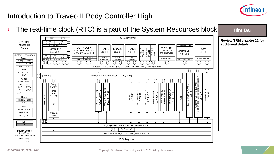

**Hint Bar** 

#### Introduction to Traveo II Body Controller High

 $\rightarrow$  The real-time clock (RTC) is a part of the System Resources block

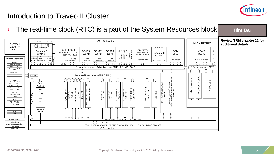

#### Introduction to Traveo II Cluster

 $\rightarrow$  The real-time clock (RTC) is a part of the System Resources block **Hint Bar Review TRM chapter 21 for**  CPU Subsystem ITCM DTCM GFX Subsystem **additional details** ITCM <sup>KB</sup> DTCM <sup>KB</sup> CYT4DN 64 KB  $64$  KB MXS40-HT SWJ/MTB/CTI SWJ/ETM/ITM/CTI ASIL-B eCT FLASH  $VRAM \n 4096 KB \n 1.304 VRAM \n 1.504 VRAM \n 1.504 VRAM \n 1.504 VRM \n 1.504 VRM \n 1.504 VRM \n 1.504 VRM \n 1.504 VRM \n 1.504 VRM \n 1.504 VRM \n 1.504 VRM \n 1.504 VRM \n 1.504 VRM \n 1.504 VRM \n 1.504 VRM \n 1.504 VRM \n 1.504 VRM \n 1.504 VRM \n 1.504 VRM$ M-DMAO<br>8 Channel CRYPTO SRAM0 SRAM1 SRAM2 ROM VRAM Cortex M7 8 Channel<br>P-DMA1<br>P-DMA0<br>PChannel<br>76 Channel 6336 KB Code-flash AES,SHA,CRC, Cortex M0+ 256 KB 128 KB 256 KB 64 KB 4096 KB 320 MHz I\$ + 128 KB Work-flash TRNG,RSA,ECC 100 MHz FPU I  $\overline{\phantom{0}}$  $\rightarrow$  $DS$ I\$ (SP/DP)  $\frac{18}{16}$  MB  $\frac{18}{16}$  KB  $\frac{185}{16}$ 16 KB System Resources SRAM SRAM 8 KB \$ SRAM Initiator/MMIO ROM Controller FLASH Controller Controller **Controller Controller** MUL, NVIC, MPU AHBP NVIC, MPU, AXI AHBS **Power** n 介 介 - TT T) 11 JÙl íì. ír ír í 1ì ĵÇ ſÌ íÈ Sleep Control POR BOD System Interconnect (Multi Layer AXI/AHB, IPC, MPU/SMPU) GFX Interconnect (AXI) OVP I LVD REF ŢŢ íì ίļ PWRSYS-HT  $PCLK$ Peripheral Interconnect (MMIO,PPU) LDO  $\frac{1}{\sqrt{1}}$ 2.5D Engine<br>2x RGB/LVDS Output<br>2x RGB/MIPI Input ĴÌ mmm ſÌ ſſ ſì 2X SMIF<br>
Dual SPI, Quad SPI, Octal SPI)<br>
1x ETH<br>
1x Cuad SPI, Octal SPI<br>
1x ETUSE<br>
1x PIN<br>
EFUSE<br>
EVTGEN<br>
EVENTGEN<br>
EVENT GENER<br>
EVENT EVENT GENER<br>
EVENT GENER **Clock** ĴС 1 ř ſÙ **Clock Control** Prog. 2xILO I WDT IMO ECO Analog FLL C<sub>SV</sub> SAR X 1 X SCB I<br>  $\frac{1}{2}$  X SCB II LINUART LINE REGISTRO PWN<br>
2x TCPWN<br>
2x TCPWN 12X DM<br>
2x TCPWN 5x SC<br>
2x PCM-PWM 5x SC<br>
2x Nixer<br>
2x PCM-PWN 5x SC<br>
2x Nixer Audio DAC<br>
2x Nixer Audio DAC<br>
2x Nixer Audio DAC<br>
2x Nixer Audi 8xPLL LPECO EFUGE N<br>
This Speed I/O Matrix, Smart I/O, Boundary Scan<br>
N This Speed I/O Matrix, Smart I/O, Boundary Scan<br>
N This Speed I/O Matrix, Smart I/O, Boundary Scan<br>
This Speed I/O Matrix, Smart I/O, Boundary Scan<br>
This Speed I/ **S2x TCPWM**<br>CTR,QD, PWM, ADC **Reset** SSOI (12-bit) Reset Control XRES CPIO **Test** TestMode Entry Digital DFT Analog DFT SARMU<sub>2</sub> WCO 48 ch **RTC** IJ

**DeepSleep Hibernate** 

Active/Sleep LowePowerActive/Sleep **Power Modes**

IO Subsystem

52x GPIO\_STD, 8x GPIO\_ENH, 26x GPIO\_SMC, 70x HSIO\_STD, 22x HSIO\_ENH, 4x HSIO\_ENG\_DIFF

High Speed I/O Matrix, Smart I/O, Boundary Scan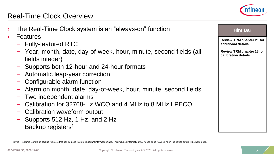#### Real-Time Clock Overview

- The Real-Time Clock system is an "always-on" function
- **Features** 
	- Fully-featured RTC
	- Year, month, date, day-of-week, hour, minute, second fields (all fields integer)
	- Supports both 12-hour and 24-hour formats
	- Automatic leap-year correction
	- Configurable alarm function
	- Alarm on month, date, day-of-week, hour, minute, second fields
	- Two independent alarms
	- Calibration for 32768-Hz WCO and 4 MHz to 8 MHz LPECO
	- Calibration waveform output
	- Supports 512 Hz, 1 Hz, and 2 Hz
	- Backup registers<sup>1</sup>

**Hint Bar** 

**Review TRM chapter 21 for additional details.**

**Review TRM chapter 18 for calibration details**

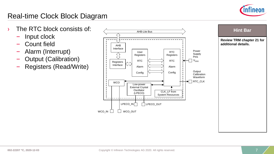

#### Real-time Clock Block Diagram

- › The RTC block consists of:
	- Input clock
	- Count field
	- Alarm (Interrupt)
	- Output (Calibration)
	- Registers (Read/Write)



**Review TRM chapter 21 for additional details.**

**Hint Bar**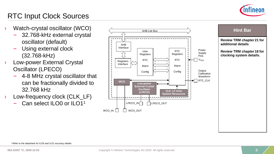

### RTC Input Clock Sources

- › Watch-crystal oscillator (WCO)
	- 32.768-kHz external crystal oscillator (default)
	- Using external clock (32.768-kHz)
- › Low-power External Crystal Oscillator (LPECO)
	- 4-8 MHz crystal oscillator that can be fractionally divided to 32.768 kHz
- › Low-frequency clock (CLK\_LF)
	- Can select ILO0 or ILO1<sup>1</sup>





<sup>1</sup>Refer to the datasheet for ILO0 and ILO1 accuracy details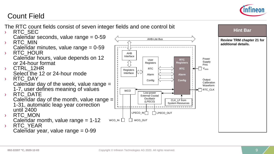

#### Count Field

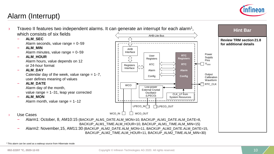

#### Alarm (Interrupt)



<sup>&</sup>lt;sup>1</sup> This alarm can be used as a wakeup source from Hibernate mode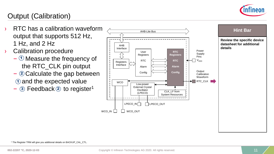

### Output (Calibration)

- › RTC has a calibration waveform output that supports 512 Hz, 1 Hz, and 2 Hz
- › Calibration procedure
	- $\odot$  Measure the frequency of the RTC\_CLK pin output
	- $-$  2 Calculate the gap between  $\mathbf{\hat{1}}$  and the expected value
	- $-$  3 Feedback 2 to register<sup>1</sup>



<sup>1</sup> The Register TRM will give you additional details on BACKUP\_CAL\_CTL.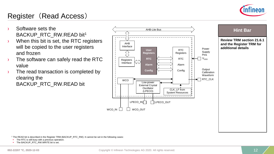

#### Register (Read Access)

- › Software sets the BACKUP\_RTC\_RW.READ bit<sup>1</sup>
- › When this bit is set, the RTC registers will be copied to the user registers and frozen
- › The software can safely read the RTC value
- $\rightarrow$  The read transaction is completed by clearing the BACKUP\_RTC\_RW.READ bit



#### **Review TRM section 21.6.1 and the Register TRM for additional details Hint Bar**

<sup>1</sup> The READ bit is described in the Register TRM (BACKUP\_RTC\_RW). It cannot be set in the following cases:

**•** The RTC is still busy with a previous operation.

**·** The BACKUP\_RTC\_RW.WRITE bit is set.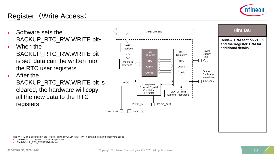

#### Register (Write Access)

- BACKUP\_RTC\_RW.WRITE bit<sup>1</sup>
- › When the BACKUP\_RTC\_RW.WRITE bit is set, data can be written into the RTC user registers
- › After the

BACKUP\_RTC\_RW.WRITE bit is cleared, the hardware will copy all the new data to the RTC registers



**Review TRM section 21.6.2 and the Register TRM for additional details**

<sup>1</sup> The WRITE bit is described in the Register TRM (BACKUP\_RTC\_RW). It cannot be set in the following cases:

The RTC is still busy with a previous operation.

**·** The BACKUP\_RTC\_RW.READ bit is set.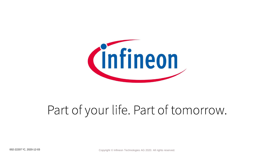

# Part of your life. Part of tomorrow.

002-22207 \*C, 2020-12-03 Copyright © Infineon Technologies AG 2020. All rights reserved.